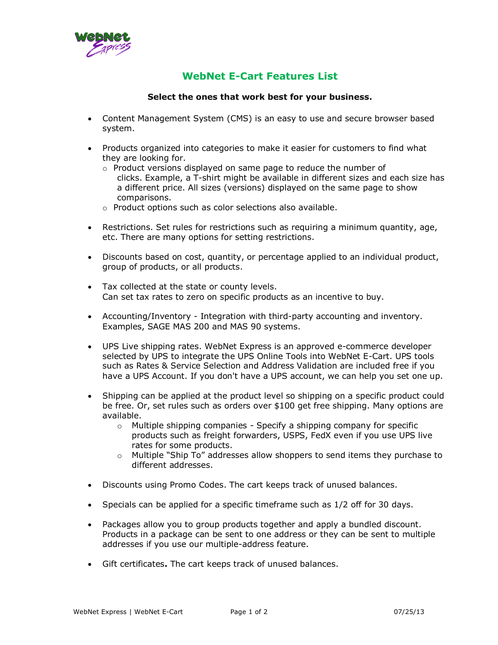

## **WebNet E-Cart Features List**

## **Select the ones that work best for your business.**

- Content Management System (CMS) is an easy to use and secure browser based system.
- Products organized into categories to make it easier for customers to find what they are looking for.
	- o Product versions displayed on same page to reduce the number of clicks. Example, a T-shirt might be available in different sizes and each size has a different price. All sizes (versions) displayed on the same page to show comparisons.
	- o Product options such as color selections also available.
- Restrictions. Set rules for restrictions such as requiring a minimum quantity, age, etc. There are many options for setting restrictions.
- Discounts based on cost, quantity, or percentage applied to an individual product, group of products, or all products.
- Tax collected at the state or county levels. Can set tax rates to zero on specific products as an incentive to buy.
- Accounting/Inventory Integration with third-party accounting and inventory. Examples, SAGE MAS 200 and MAS 90 systems.
- UPS Live shipping rates. WebNet Express is an approved e-commerce developer selected by UPS to integrate the UPS Online Tools into WebNet E-Cart. UPS tools such as Rates & Service Selection and Address Validation are included free if you have a UPS Account. If you don't have a UPS account, we can help you set one up.
- Shipping can be applied at the product level so shipping on a specific product could be free. Or, set rules such as orders over \$100 get free shipping. Many options are available.
	- $\circ$  Multiple shipping companies Specify a shipping company for specific products such as freight forwarders, USPS, FedX even if you use UPS live rates for some products.
	- o Multiple "Ship To" addresses allow shoppers to send items they purchase to different addresses.
- Discounts using Promo Codes. The cart keeps track of unused balances.
- Specials can be applied for a specific timeframe such as 1/2 off for 30 days.
- Packages allow you to group products together and apply a bundled discount. Products in a package can be sent to one address or they can be sent to multiple addresses if you use our multiple-address feature.
- Gift certificates**.** The cart keeps track of unused balances.